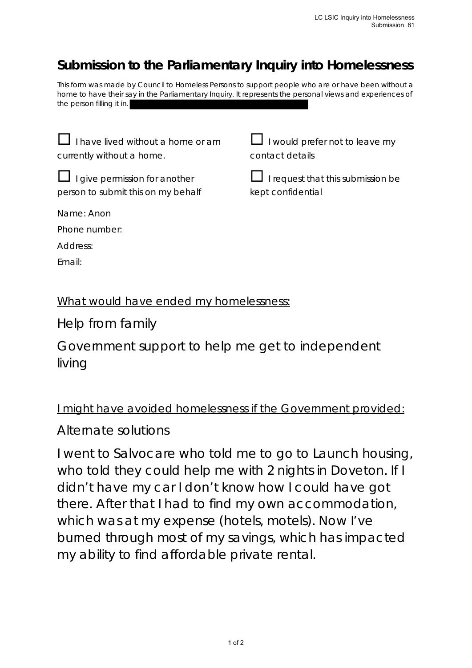# **Submission to the Parliamentary Inquiry into Homelessness**

This form was made by Council to Homeless Persons to support people who are or have been without a home to have their say in the Parliamentary Inquiry. It represents the personal views and experiences of the person filling it in.

 $\Box$  I have lived without a home or am currently without a home.

 $\Box$  I would prefer not to leave my contact details

 $\Box$  I give permission for another person to submit this on my behalf

 $\Box$  I request that this submission be kept confidential

Name: Anon

Phone number:

Address:

Email:

#### What would have ended my homelessness:

Help from family

Government support to help me get to independent living

### I might have avoided homelessness if the Government provided:

## Alternate solutions

I went to Salvocare who told me to go to Launch housing, who told they could help me with 2 nights in Doveton. If I didn't have my car I don't know how I could have got there. After that I had to find my own accommodation, which was at my expense (hotels, motels). Now I've burned through most of my savings, which has impacted my ability to find affordable private rental.